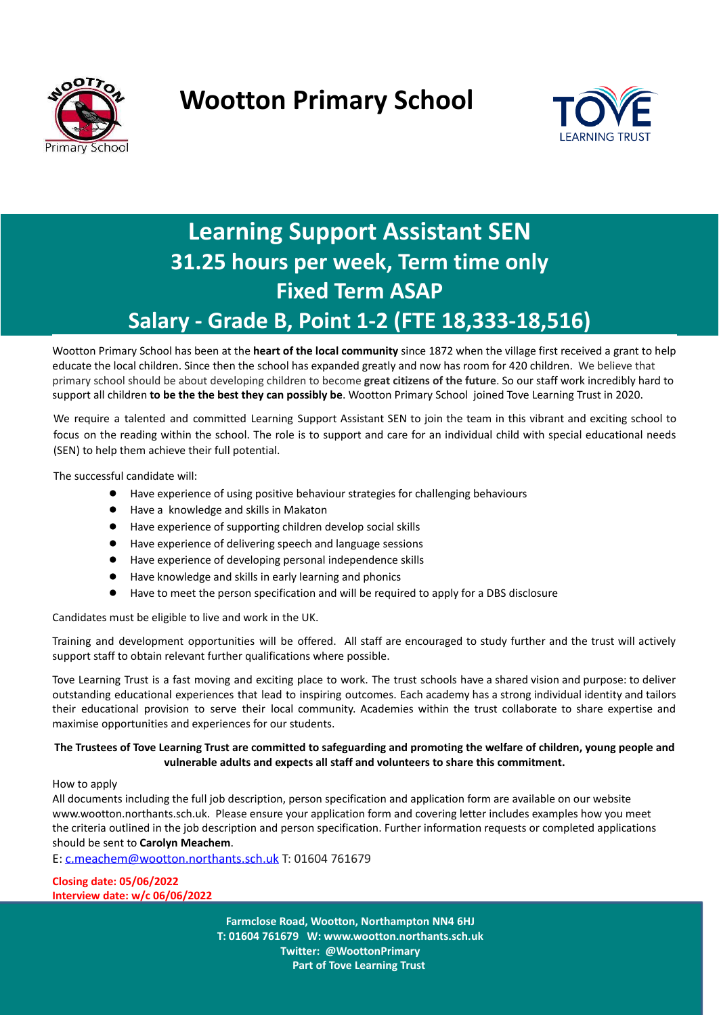

# **Wootton Primary School**



### **Learning Support Assistant SEN 31.25 hours per week, Term time only Fixed Term ASAP Salary - Grade B, Point 1-2 (FTE 18,333-18,516)**

Wootton Primary School has been at the **heart of the local community** since 1872 when the village first received a grant to help educate the local children. Since then the school has expanded greatly and now has room for 420 children. We believe that primary school should be about developing children to become **great citizens of the future**. So our staff work incredibly hard to support all children **to be the the best they can possibly be**. Wootton Primary School joined Tove Learning Trust in 2020.

We require a talented and committed Learning Support Assistant SEN to join the team in this vibrant and exciting school to focus on the reading within the school. The role is to support and care for an individual child with special educational needs (SEN) to help them achieve their full potential.

The successful candidate will:

- Have experience of using positive behaviour strategies for challenging behaviours
- Have a knowledge and skills in Makaton
- Have experience of supporting children develop social skills
- Have experience of delivering speech and language sessions
- Have experience of developing personal independence skills
- Have knowledge and skills in early learning and phonics
- Have to meet the person specification and will be required to apply for a DBS disclosure

Candidates must be eligible to live and work in the UK.

Training and development opportunities will be offered. All staff are encouraged to study further and the trust will actively support staff to obtain relevant further qualifications where possible.

Tove Learning Trust is a fast moving and exciting place to work. The trust schools have a shared vision and purpose: to deliver outstanding educational experiences that lead to inspiring outcomes. Each academy has a strong individual identity and tailors their educational provision to serve their local community. Academies within the trust collaborate to share expertise and maximise opportunities and experiences for our students.

#### The Trustees of Tove Learning Trust are committed to safeguarding and promoting the welfare of children, young people and **vulnerable adults and expects all staff and volunteers to share this commitment.**

#### How to apply

All documents including the full job description, person specification and application form are available on our website [www.wootton.northants.sch.uk.](http://www.wootton.northants.sch.uk) Please ensure your application form and covering letter includes examples how you meet the criteria outlined in the job description and person specification. Further information requests or completed applications should be sent to **Carolyn Meachem**.

E: [c.meachem@wootton.northants.sch.uk](mailto:s.onley@wootton.northants.sch.uk) T: 01604 761679

**Closing date: 05/06/2022 Interview date: w/c 06/06/2022**

> **Farmclose Road, Wootton, Northampton NN4 6HJ T: 01604 761679 W: www.wootton.northants.sch.uk Twitter: @WoottonPrimary Part of Tove Learning Trust**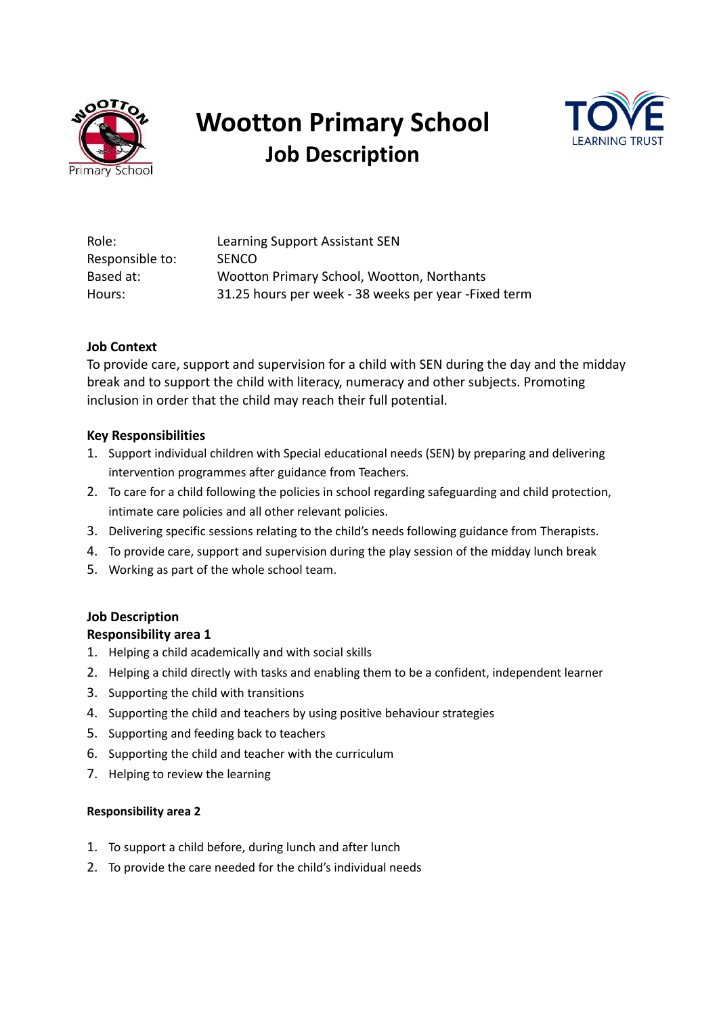

# **Wootton Primary School Job Description**



| Role:           | Learning Support Assistant SEN                        |
|-----------------|-------------------------------------------------------|
| Responsible to: | <b>SENCO</b>                                          |
| Based at:       | Wootton Primary School, Wootton, Northants            |
| Hours:          | 31.25 hours per week - 38 weeks per year - Fixed term |

### **Job Context**

To provide care, support and supervision for a child with SEN during the day and the midday break and to support the child with literacy, numeracy and other subjects. Promoting inclusion in order that the child may reach their full potential.

#### **Key Responsibilities**

- 1. Support individual children with Special educational needs (SEN) by preparing and delivering intervention programmes after guidance from Teachers.
- 2. To care for a child following the policies in school regarding safeguarding and child protection, intimate care policies and all other relevant policies.
- 3. Delivering specific sessions relating to the child's needs following guidance from Therapists.
- 4. To provide care, support and supervision during the play session of the midday lunch break
- 5. Working as part of the whole school team.

#### **Job Description**

#### **Responsibility area 1**

- 1. Helping a child academically and with social skills
- 2. Helping a child directly with tasks and enabling them to be a confident, independent learner
- 3. Supporting the child with transitions
- 4. Supporting the child and teachers by using positive behaviour strategies
- 5. Supporting and feeding back to teachers
- 6. Supporting the child and teacher with the curriculum
- 7. Helping to review the learning

#### **Responsibility area 2**

- 1. To support a child before, during lunch and after lunch
- 2. To provide the care needed for the child's individual needs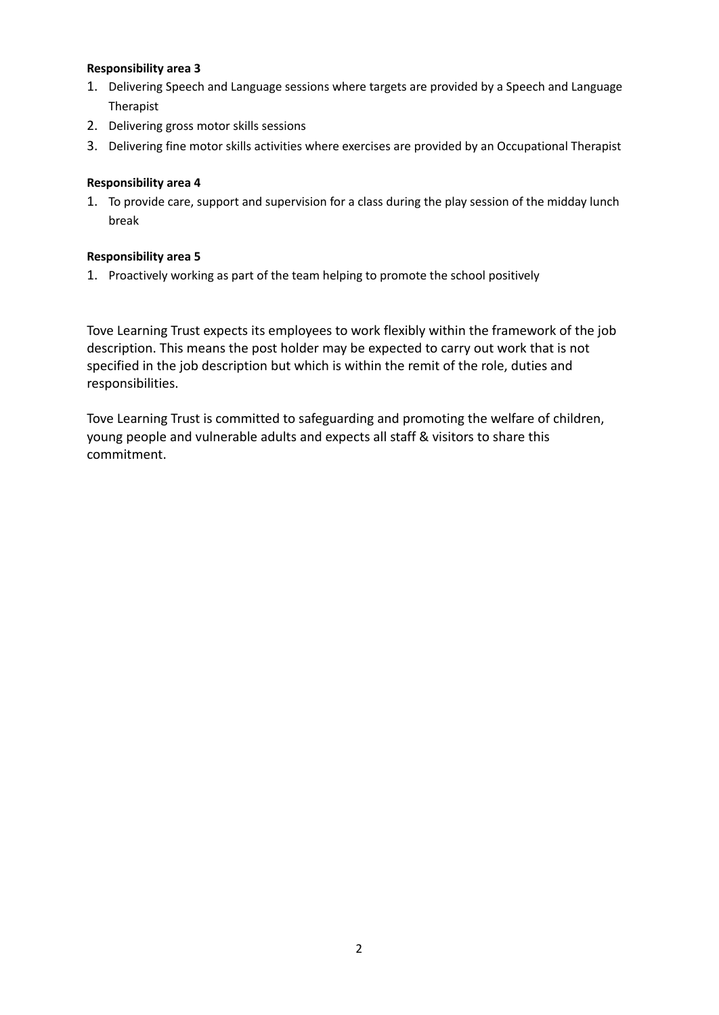#### **Responsibility area 3**

- 1. Delivering Speech and Language sessions where targets are provided by a Speech and Language Therapist
- 2. Delivering gross motor skills sessions
- 3. Delivering fine motor skills activities where exercises are provided by an Occupational Therapist

#### **Responsibility area 4**

1. To provide care, support and supervision for a class during the play session of the midday lunch break

### **Responsibility area 5**

1. Proactively working as part of the team helping to promote the school positively

Tove Learning Trust expects its employees to work flexibly within the framework of the job description. This means the post holder may be expected to carry out work that is not specified in the job description but which is within the remit of the role, duties and responsibilities.

Tove Learning Trust is committed to safeguarding and promoting the welfare of children, young people and vulnerable adults and expects all staff & visitors to share this commitment.